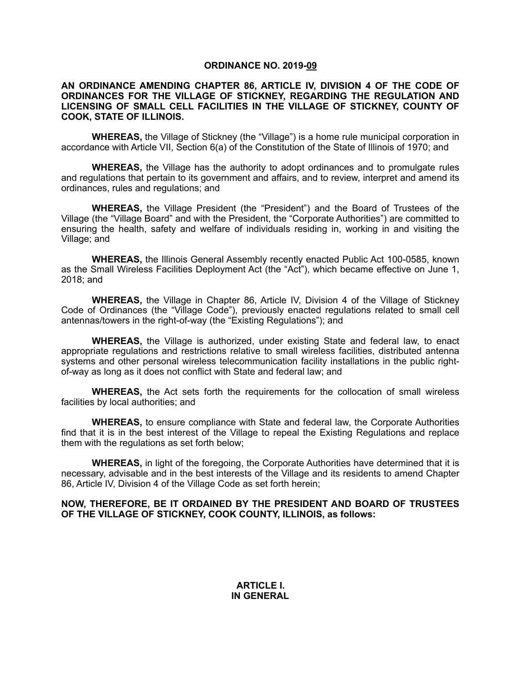### **ORDINANCE NO. 2019-09**

#### **AN ORDINANCE AMENDING CHAPTER 86, ARTICLE IV, DIVISION 4 OF THE CODE OF ORDINANCES FOR THE VILLAGE OF STICKNEY, REGARDING THE REGULATION AND LICENSING OF SMALL CELL FACILITIES IN THE VILLAGE OF STICKNEY, COUNTY OF COOK, STATE OF ILLINOIS.**

**WHEREAS,** the Village of Stickney (the "Village") is a home rule municipal corporation in accordance with Article VII, Section 6(a) of the Constitution of the State of Illinois of 1970; and

**WHEREAS,** the Village has the authority to adopt ordinances and to promulgate rules and regulations that pertain to its government and affairs, and to review, interpret and amend its ordinances, rules and regulations; and

**WHEREAS,** the Village President (the "President") and the Board of Trustees of the Village (the "Village Board" and with the President, the "Corporate Authorities") are committed to ensuring the health, safety and welfare of individuals residing in, working in and visiting the Village; and

**WHEREAS,** the Illinois General Assembly recently enacted Public Act 100-0585, known as the Small Wireless Facilities Deployment Act (the "Act"), which became effective on June 1, 2018; and

**WHEREAS,** the Village in Chapter 86, Article IV, Division 4 of the Village of Stickney Code of Ordinances (the "Village Code"), previously enacted regulations related to small cell antennas/towers in the right-of-way (the "Existing Regulations"); and

**WHEREAS,** the Village is authorized, under existing State and federal law, to enact appropriate regulations and restrictions relative to small wireless facilities, distributed antenna systems and other personal wireless telecommunication facility installations in the public rightof-way as long as it does not conflict with State and federal law; and

**WHEREAS,** the Act sets forth the requirements for the collocation of small wireless facilities by local authorities; and

**WHEREAS,** to ensure compliance with State and federal law, the Corporate Authorities find that it is in the best interest of the Village to repeal the Existing Regulations and replace them with the regulations as set forth below;

**WHEREAS,** in light of the foregoing, the Corporate Authorities have determined that it is necessary, advisable and in the best interests of the Village and its residents to amend Chapter 86, Article IV, Division 4 of the Village Code as set forth herein;

### **NOW, THEREFORE, BE IT ORDAINED BY THE PRESIDENT AND BOARD OF TRUSTEES OF THE VILLAGE OF STICKNEY, COOK COUNTY, ILLINOIS, as follows:**

## **ARTICLE I. IN GENERAL**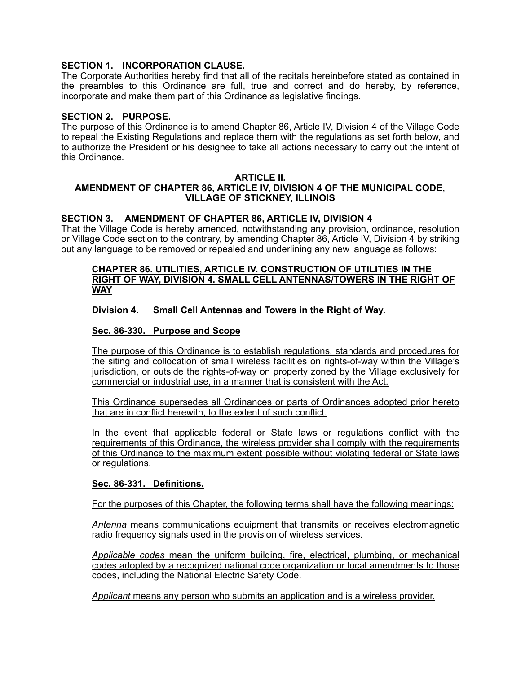# **SECTION 1. INCORPORATION CLAUSE.**

The Corporate Authorities hereby find that all of the recitals hereinbefore stated as contained in the preambles to this Ordinance are full, true and correct and do hereby, by reference, incorporate and make them part of this Ordinance as legislative findings.

## **SECTION 2. PURPOSE.**

The purpose of this Ordinance is to amend Chapter 86, Article IV, Division 4 of the Village Code to repeal the Existing Regulations and replace them with the regulations as set forth below, and to authorize the President or his designee to take all actions necessary to carry out the intent of this Ordinance.

### **ARTICLE II.**

# **AMENDMENT OF CHAPTER 86, ARTICLE IV, DIVISION 4 OF THE MUNICIPAL CODE, VILLAGE OF STICKNEY, ILLINOIS**

## **SECTION 3. AMENDMENT OF CHAPTER 86, ARTICLE IV, DIVISION 4**

That the Village Code is hereby amended, notwithstanding any provision, ordinance, resolution or Village Code section to the contrary, by amending Chapter 86, Article IV, Division 4 by striking out any language to be removed or repealed and underlining any new language as follows:

### **CHAPTER 86. UTILITIES, ARTICLE IV. CONSTRUCTION OF UTILITIES IN THE RIGHT OF WAY, DIVISION 4. SMALL CELL ANTENNAS/TOWERS IN THE RIGHT OF WAY**

## **Division 4. Small Cell Antennas and Towers in the Right of Way.**

## **Sec. 86-330. Purpose and Scope**

The purpose of this Ordinance is to establish regulations, standards and procedures for the siting and collocation of small wireless facilities on rights-of-way within the Village's jurisdiction, or outside the rights-of-way on property zoned by the Village exclusively for commercial or industrial use, in a manner that is consistent with the Act.

This Ordinance supersedes all Ordinances or parts of Ordinances adopted prior hereto that are in conflict herewith, to the extent of such conflict.

In the event that applicable federal or State laws or regulations conflict with the requirements of this Ordinance, the wireless provider shall comply with the requirements of this Ordinance to the maximum extent possible without violating federal or State laws or regulations.

#### **Sec. 86-331. Definitions.**

For the purposes of this Chapter, the following terms shall have the following meanings:

*Antenna* means communications equipment that transmits or receives electromagnetic radio frequency signals used in the provision of wireless services.

*Applicable codes* mean the uniform building, fire, electrical, plumbing, or mechanical codes adopted by a recognized national code organization or local amendments to those codes, including the National Electric Safety Code.

*Applicant* means any person who submits an application and is a wireless provider.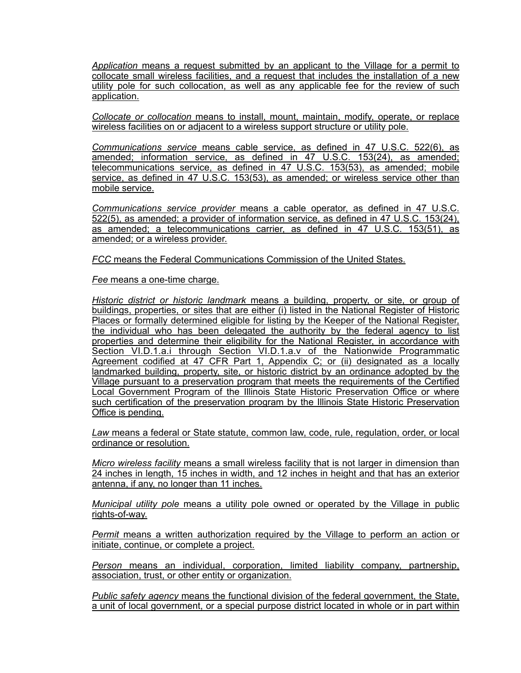*Application* means a request submitted by an applicant to the Village for a permit to collocate small wireless facilities, and a request that includes the installation of a new utility pole for such collocation, as well as any applicable fee for the review of such application.

*Collocate or collocation* means to install, mount, maintain, modify, operate, or replace wireless facilities on or adjacent to a wireless support structure or utility pole.

*Communications service* means cable service, as defined in 47 U.S.C. 522(6), as amended; information service, as defined in 47 U.S.C. 153(24), as amended; telecommunications service, as defined in 47 U.S.C. 153(53), as amended; mobile service, as defined in 47 U.S.C. 153(53), as amended; or wireless service other than mobile service.

*Communications service provider* means a cable operator, as defined in 47 U.S.C. 522(5), as amended; a provider of information service, as defined in 47 U.S.C. 153(24), as amended; a telecommunications carrier, as defined in 47 U.S.C. 153(51), as amended; or a wireless provider.

*FCC* means the Federal Communications Commission of the United States.

*Fee* means a one-time charge.

*Historic district or historic landmark* means a building, property, or site, or group of buildings, properties, or sites that are either (i) listed in the National Register of Historic Places or formally determined eligible for listing by the Keeper of the National Register, the individual who has been delegated the authority by the federal agency to list properties and determine their eligibility for the National Register, in accordance with Section VI.D.1.a.i through Section VI.D.1.a.v of the Nationwide Programmatic Agreement codified at 47 CFR Part 1, Appendix C; or (ii) designated as a locally landmarked building, property, site, or historic district by an ordinance adopted by the Village pursuant to a preservation program that meets the requirements of the Certified Local Government Program of the Illinois State Historic Preservation Office or where such certification of the preservation program by the Illinois State Historic Preservation Office is pending.

*Law* means a federal or State statute, common law, code, rule, regulation, order, or local ordinance or resolution.

*Micro wireless facility* means a small wireless facility that is not larger in dimension than 24 inches in length, 15 inches in width, and 12 inches in height and that has an exterior antenna, if any, no longer than 11 inches.

*Municipal utility pole* means a utility pole owned or operated by the Village in public rights-of-way.

*Permit* means a written authorization required by the Village to perform an action or initiate, continue, or complete a project.

*Person* means an individual, corporation, limited liability company, partnership, association, trust, or other entity or organization.

*Public safety agency* means the functional division of the federal government, the State, a unit of local government, or a special purpose district located in whole or in part within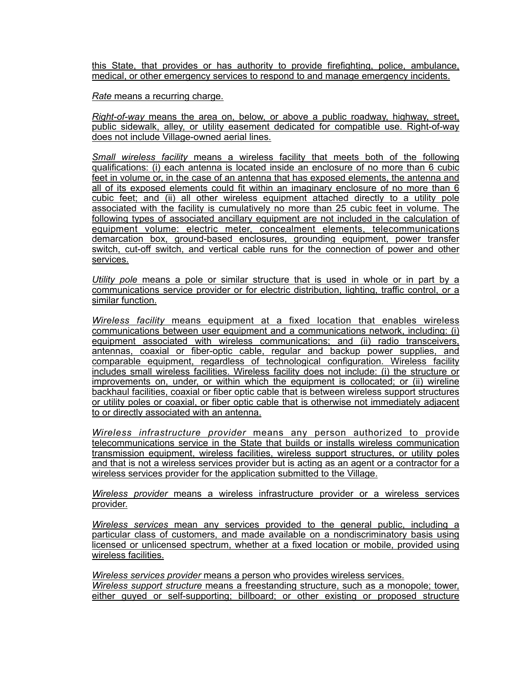this State, that provides or has authority to provide firefighting, police, ambulance, medical, or other emergency services to respond to and manage emergency incidents.

*Rate* means a recurring charge.

*Right-of-way* means the area on, below, or above a public roadway, highway, street, public sidewalk, alley, or utility easement dedicated for compatible use. Right-of-way does not include Village-owned aerial lines.

*Small wireless facility* means a wireless facility that meets both of the following qualifications: (i) each antenna is located inside an enclosure of no more than 6 cubic feet in volume or, in the case of an antenna that has exposed elements, the antenna and all of its exposed elements could fit within an imaginary enclosure of no more than 6 cubic feet; and (ii) all other wireless equipment attached directly to a utility pole associated with the facility is cumulatively no more than 25 cubic feet in volume. The following types of associated ancillary equipment are not included in the calculation of equipment volume: electric meter, concealment elements, telecommunications demarcation box, ground-based enclosures, grounding equipment, power transfer switch, cut-off switch, and vertical cable runs for the connection of power and other services.

*Utility pole* means a pole or similar structure that is used in whole or in part by a communications service provider or for electric distribution, lighting, traffic control, or a similar function.

*Wireless facility* means equipment at a fixed location that enables wireless communications between user equipment and a communications network, including: (i) equipment associated with wireless communications; and (ii) radio transceivers, antennas, coaxial or fiber-optic cable, regular and backup power supplies, and comparable equipment, regardless of technological configuration. Wireless facility includes small wireless facilities. Wireless facility does not include: (i) the structure or improvements on, under, or within which the equipment is collocated; or (ii) wireline backhaul facilities, coaxial or fiber optic cable that is between wireless support structures or utility poles or coaxial, or fiber optic cable that is otherwise not immediately adjacent to or directly associated with an antenna.

*Wireless infrastructure provider* means any person authorized to provide telecommunications service in the State that builds or installs wireless communication transmission equipment, wireless facilities, wireless support structures, or utility poles and that is not a wireless services provider but is acting as an agent or a contractor for a wireless services provider for the application submitted to the Village.

*Wireless provider* means a wireless infrastructure provider or a wireless services provider.

*Wireless services* mean any services provided to the general public, including a particular class of customers, and made available on a nondiscriminatory basis using licensed or unlicensed spectrum, whether at a fixed location or mobile, provided using wireless facilities.

*Wireless services provider* means a person who provides wireless services. *Wireless support structure* means a freestanding structure, such as a monopole; tower, either guyed or self-supporting; billboard; or other existing or proposed structure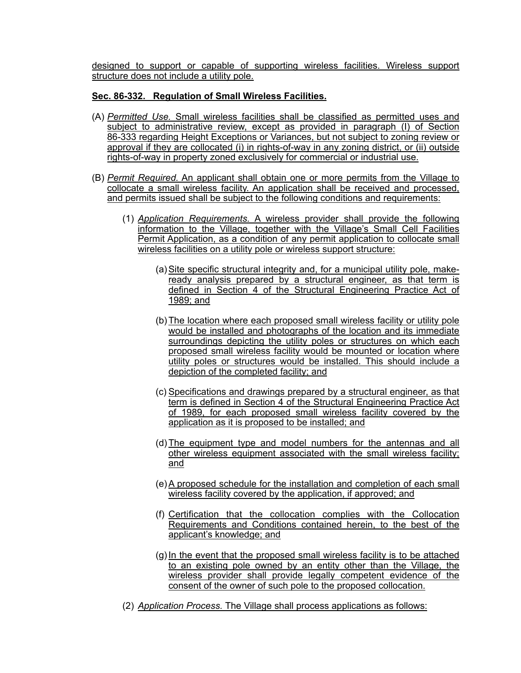designed to support or capable of supporting wireless facilities. Wireless support structure does not include a utility pole.

# **Sec. 86-332. Regulation of Small Wireless Facilities.**

- (A) *Permitted Use.* Small wireless facilities shall be classified as permitted uses and subject to administrative review, except as provided in paragraph (I) of Section 86-333 regarding Height Exceptions or Variances, but not subject to zoning review or approval if they are collocated (i) in rights-of-way in any zoning district, or (ii) outside rights-of-way in property zoned exclusively for commercial or industrial use.
- (B) *Permit Required.* An applicant shall obtain one or more permits from the Village to collocate a small wireless facility. An application shall be received and processed, and permits issued shall be subject to the following conditions and requirements:
	- (1) *Application Requirements.* A wireless provider shall provide the following information to the Village, together with the Village's Small Cell Facilities Permit Application, as a condition of any permit application to collocate small wireless facilities on a utility pole or wireless support structure:
		- (a) Site specific structural integrity and, for a municipal utility pole, makeready analysis prepared by a structural engineer, as that term is defined in Section 4 of the Structural Engineering Practice Act of 1989; and
		- (b)The location where each proposed small wireless facility or utility pole would be installed and photographs of the location and its immediate surroundings depicting the utility poles or structures on which each proposed small wireless facility would be mounted or location where utility poles or structures would be installed. This should include a depiction of the completed facility; and
		- (c) Specifications and drawings prepared by a structural engineer, as that term is defined in Section 4 of the Structural Engineering Practice Act of 1989, for each proposed small wireless facility covered by the application as it is proposed to be installed; and
		- (d)The equipment type and model numbers for the antennas and all other wireless equipment associated with the small wireless facility; and
		- (e)A proposed schedule for the installation and completion of each small wireless facility covered by the application, if approved; and
		- (f) Certification that the collocation complies with the Collocation Requirements and Conditions contained herein, to the best of the applicant's knowledge; and
		- $(g)$  In the event that the proposed small wireless facility is to be attached to an existing pole owned by an entity other than the Village, the wireless provider shall provide legally competent evidence of the consent of the owner of such pole to the proposed collocation.
	- (2) *Application Process.* The Village shall process applications as follows: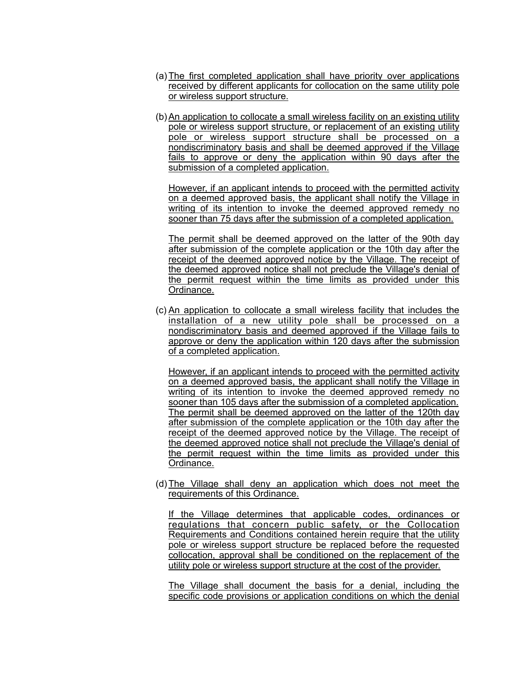- (a)The first completed application shall have priority over applications received by different applicants for collocation on the same utility pole or wireless support structure.
- (b)An application to collocate a small wireless facility on an existing utility pole or wireless support structure, or replacement of an existing utility pole or wireless support structure shall be processed on a nondiscriminatory basis and shall be deemed approved if the Village fails to approve or deny the application within 90 days after the submission of a completed application.

However, if an applicant intends to proceed with the permitted activity on a deemed approved basis, the applicant shall notify the Village in writing of its intention to invoke the deemed approved remedy no sooner than 75 days after the submission of a completed application.

The permit shall be deemed approved on the latter of the 90th day after submission of the complete application or the 10th day after the receipt of the deemed approved notice by the Village. The receipt of the deemed approved notice shall not preclude the Village's denial of the permit request within the time limits as provided under this Ordinance.

(c) An application to collocate a small wireless facility that includes the installation of a new utility pole shall be processed on a nondiscriminatory basis and deemed approved if the Village fails to approve or deny the application within 120 days after the submission of a completed application.

However, if an applicant intends to proceed with the permitted activity on a deemed approved basis, the applicant shall notify the Village in writing of its intention to invoke the deemed approved remedy no sooner than 105 days after the submission of a completed application. The permit shall be deemed approved on the latter of the 120th day after submission of the complete application or the 10th day after the receipt of the deemed approved notice by the Village. The receipt of the deemed approved notice shall not preclude the Village's denial of the permit request within the time limits as provided under this Ordinance.

(d)The Village shall deny an application which does not meet the requirements of this Ordinance.

If the Village determines that applicable codes, ordinances or regulations that concern public safety, or the Collocation Requirements and Conditions contained herein require that the utility pole or wireless support structure be replaced before the requested collocation, approval shall be conditioned on the replacement of the utility pole or wireless support structure at the cost of the provider.

The Village shall document the basis for a denial, including the specific code provisions or application conditions on which the denial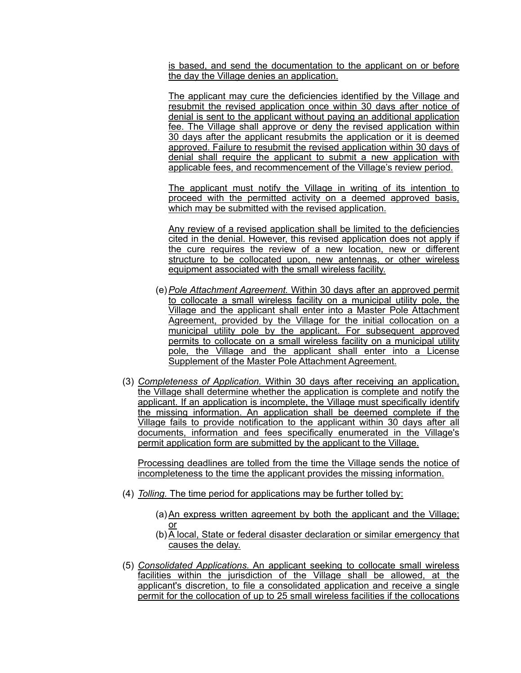is based, and send the documentation to the applicant on or before the day the Village denies an application.

The applicant may cure the deficiencies identified by the Village and resubmit the revised application once within 30 days after notice of denial is sent to the applicant without paying an additional application fee. The Village shall approve or deny the revised application within 30 days after the applicant resubmits the application or it is deemed approved. Failure to resubmit the revised application within 30 days of denial shall require the applicant to submit a new application with applicable fees, and recommencement of the Village's review period.

The applicant must notify the Village in writing of its intention to proceed with the permitted activity on a deemed approved basis, which may be submitted with the revised application.

Any review of a revised application shall be limited to the deficiencies cited in the denial. However, this revised application does not apply if the cure requires the review of a new location, new or different structure to be collocated upon, new antennas, or other wireless equipment associated with the small wireless facility.

- (e)*Pole Attachment Agreement.* Within 30 days after an approved permit to collocate a small wireless facility on a municipal utility pole, the Village and the applicant shall enter into a Master Pole Attachment Agreement, provided by the Village for the initial collocation on a municipal utility pole by the applicant. For subsequent approved permits to collocate on a small wireless facility on a municipal utility pole, the Village and the applicant shall enter into a License Supplement of the Master Pole Attachment Agreement.
- (3) *Completeness of Application.* Within 30 days after receiving an application, the Village shall determine whether the application is complete and notify the applicant. If an application is incomplete, the Village must specifically identify the missing information. An application shall be deemed complete if the Village fails to provide notification to the applicant within 30 days after all documents, information and fees specifically enumerated in the Village's permit application form are submitted by the applicant to the Village.

Processing deadlines are tolled from the time the Village sends the notice of incompleteness to the time the applicant provides the missing information.

- (4) *Tolling.* The time period for applications may be further tolled by:
	- (a)An express written agreement by both the applicant and the Village; or
	- (b)A local, State or federal disaster declaration or similar emergency that causes the delay.
- (5) *Consolidated Applications.* An applicant seeking to collocate small wireless facilities within the jurisdiction of the Village shall be allowed, at the applicant's discretion, to file a consolidated application and receive a single permit for the collocation of up to 25 small wireless facilities if the collocations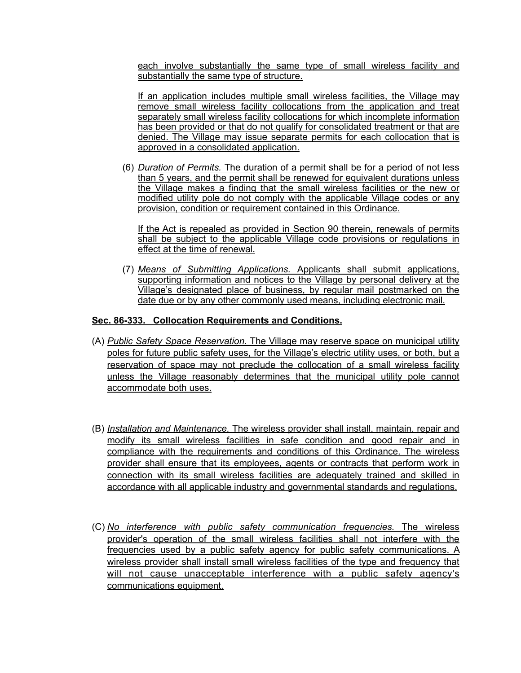each involve substantially the same type of small wireless facility and substantially the same type of structure.

If an application includes multiple small wireless facilities, the Village may remove small wireless facility collocations from the application and treat separately small wireless facility collocations for which incomplete information has been provided or that do not qualify for consolidated treatment or that are denied. The Village may issue separate permits for each collocation that is approved in a consolidated application.

(6) *Duration of Permits.* The duration of a permit shall be for a period of not less than 5 years, and the permit shall be renewed for equivalent durations unless the Village makes a finding that the small wireless facilities or the new or modified utility pole do not comply with the applicable Village codes or any provision, condition or requirement contained in this Ordinance.

If the Act is repealed as provided in Section 90 therein, renewals of permits shall be subject to the applicable Village code provisions or regulations in effect at the time of renewal.

(7) *Means of Submitting Applications.* Applicants shall submit applications, supporting information and notices to the Village by personal delivery at the Village's designated place of business, by regular mail postmarked on the date due or by any other commonly used means, including electronic mail.

# **Sec. 86-333. Collocation Requirements and Conditions.**

- (A) *Public Safety Space Reservation.* The Village may reserve space on municipal utility poles for future public safety uses, for the Village's electric utility uses, or both, but a reservation of space may not preclude the collocation of a small wireless facility unless the Village reasonably determines that the municipal utility pole cannot accommodate both uses.
- (B) *Installation and Maintenance.* The wireless provider shall install, maintain, repair and modify its small wireless facilities in safe condition and good repair and in compliance with the requirements and conditions of this Ordinance. The wireless provider shall ensure that its employees, agents or contracts that perform work in connection with its small wireless facilities are adequately trained and skilled in accordance with all applicable industry and governmental standards and regulations.
- (C) *No interference with public safety communication frequencies.* The wireless provider's operation of the small wireless facilities shall not interfere with the frequencies used by a public safety agency for public safety communications. A wireless provider shall install small wireless facilities of the type and frequency that will not cause unacceptable interference with a public safety agency's communications equipment.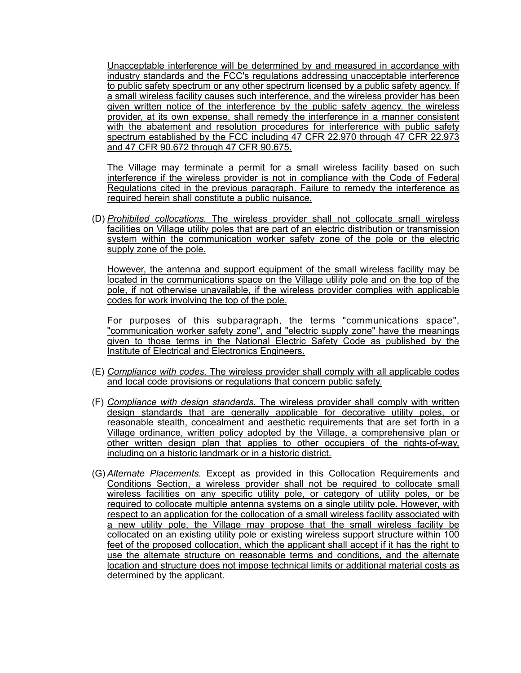Unacceptable interference will be determined by and measured in accordance with industry standards and the FCC's regulations addressing unacceptable interference to public safety spectrum or any other spectrum licensed by a public safety agency. If a small wireless facility causes such interference, and the wireless provider has been given written notice of the interference by the public safety agency, the wireless provider, at its own expense, shall remedy the interference in a manner consistent with the abatement and resolution procedures for interference with public safety spectrum established by the FCC including 47 CFR 22.970 through 47 CFR 22.973 and 47 CFR 90.672 through 47 CFR 90.675.

The Village may terminate a permit for a small wireless facility based on such interference if the wireless provider is not in compliance with the Code of Federal Regulations cited in the previous paragraph. Failure to remedy the interference as required herein shall constitute a public nuisance.

(D) *Prohibited collocations.* The wireless provider shall not collocate small wireless facilities on Village utility poles that are part of an electric distribution or transmission system within the communication worker safety zone of the pole or the electric supply zone of the pole.

However, the antenna and support equipment of the small wireless facility may be located in the communications space on the Village utility pole and on the top of the pole, if not otherwise unavailable, if the wireless provider complies with applicable codes for work involving the top of the pole.

For purposes of this subparagraph, the terms "communications space", "communication worker safety zone", and "electric supply zone" have the meanings given to those terms in the National Electric Safety Code as published by the Institute of Electrical and Electronics Engineers.

- (E) *Compliance with codes.* The wireless provider shall comply with all applicable codes and local code provisions or regulations that concern public safety.
- (F) *Compliance with design standards.* The wireless provider shall comply with written design standards that are generally applicable for decorative utility poles, or reasonable stealth, concealment and aesthetic requirements that are set forth in a Village ordinance, written policy adopted by the Village, a comprehensive plan or other written design plan that applies to other occupiers of the rights-of-way, including on a historic landmark or in a historic district.
- (G) *Alternate Placements.* Except as provided in this Collocation Requirements and Conditions Section, a wireless provider shall not be required to collocate small wireless facilities on any specific utility pole, or category of utility poles, or be required to collocate multiple antenna systems on a single utility pole. However, with respect to an application for the collocation of a small wireless facility associated with a new utility pole, the Village may propose that the small wireless facility be collocated on an existing utility pole or existing wireless support structure within 100 feet of the proposed collocation, which the applicant shall accept if it has the right to use the alternate structure on reasonable terms and conditions, and the alternate location and structure does not impose technical limits or additional material costs as determined by the applicant.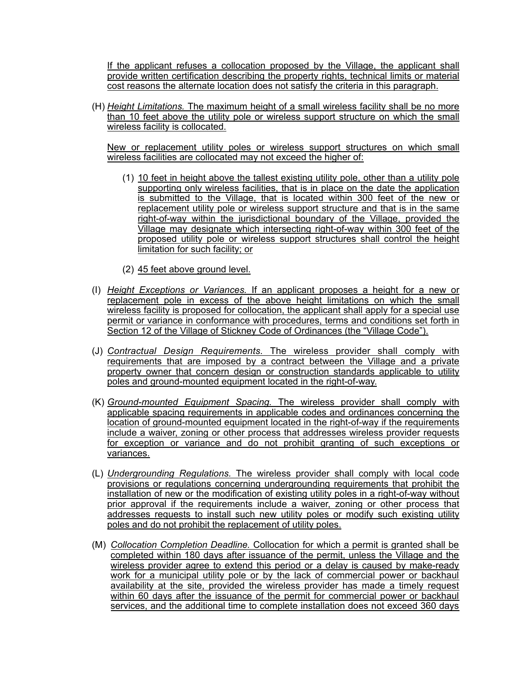If the applicant refuses a collocation proposed by the Village, the applicant shall provide written certification describing the property rights, technical limits or material cost reasons the alternate location does not satisfy the criteria in this paragraph.

(H) *Height Limitations.* The maximum height of a small wireless facility shall be no more than 10 feet above the utility pole or wireless support structure on which the small wireless facility is collocated.

New or replacement utility poles or wireless support structures on which small wireless facilities are collocated may not exceed the higher of:

- (1) 10 feet in height above the tallest existing utility pole, other than a utility pole supporting only wireless facilities, that is in place on the date the application is submitted to the Village, that is located within 300 feet of the new or replacement utility pole or wireless support structure and that is in the same right-of-way within the jurisdictional boundary of the Village, provided the Village may designate which intersecting right-of-way within 300 feet of the proposed utility pole or wireless support structures shall control the height limitation for such facility; or
- (2) 45 feet above ground level.
- (I) *Height Exceptions or Variances.* If an applicant proposes a height for a new or replacement pole in excess of the above height limitations on which the small wireless facility is proposed for collocation, the applicant shall apply for a special use permit or variance in conformance with procedures, terms and conditions set forth in Section 12 of the Village of Stickney Code of Ordinances (the "Village Code").
- (J) *Contractual Design Requirements.* The wireless provider shall comply with requirements that are imposed by a contract between the Village and a private property owner that concern design or construction standards applicable to utility poles and ground-mounted equipment located in the right-of-way.
- (K) *Ground-mounted Equipment Spacing.* The wireless provider shall comply with applicable spacing requirements in applicable codes and ordinances concerning the location of ground-mounted equipment located in the right-of-way if the requirements include a waiver, zoning or other process that addresses wireless provider requests for exception or variance and do not prohibit granting of such exceptions or variances.
- (L) *Undergrounding Regulations.* The wireless provider shall comply with local code provisions or regulations concerning undergrounding requirements that prohibit the installation of new or the modification of existing utility poles in a right-of-way without prior approval if the requirements include a waiver, zoning or other process that addresses requests to install such new utility poles or modify such existing utility poles and do not prohibit the replacement of utility poles.
- (M) *Collocation Completion Deadline.* Collocation for which a permit is granted shall be completed within 180 days after issuance of the permit, unless the Village and the wireless provider agree to extend this period or a delay is caused by make-ready work for a municipal utility pole or by the lack of commercial power or backhaul availability at the site, provided the wireless provider has made a timely request within 60 days after the issuance of the permit for commercial power or backhaul services, and the additional time to complete installation does not exceed 360 days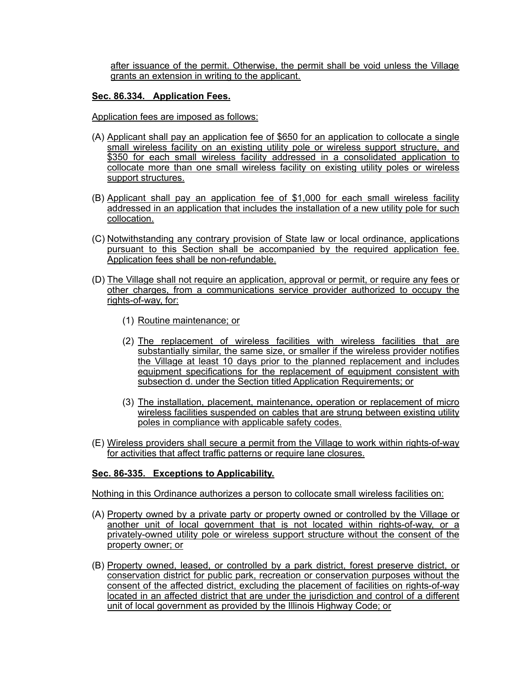after issuance of the permit. Otherwise, the permit shall be void unless the Village grants an extension in writing to the applicant.

# **Sec. 86.334. Application Fees.**

Application fees are imposed as follows:

- (A) Applicant shall pay an application fee of \$650 for an application to collocate a single small wireless facility on an existing utility pole or wireless support structure, and \$350 for each small wireless facility addressed in a consolidated application to collocate more than one small wireless facility on existing utility poles or wireless support structures.
- (B) Applicant shall pay an application fee of \$1,000 for each small wireless facility addressed in an application that includes the installation of a new utility pole for such collocation.
- (C) Notwithstanding any contrary provision of State law or local ordinance, applications pursuant to this Section shall be accompanied by the required application fee. Application fees shall be non-refundable.
- (D) The Village shall not require an application, approval or permit, or require any fees or other charges, from a communications service provider authorized to occupy the rights-of-way, for:
	- (1) Routine maintenance; or
	- (2) The replacement of wireless facilities with wireless facilities that are substantially similar, the same size, or smaller if the wireless provider notifies the Village at least 10 days prior to the planned replacement and includes equipment specifications for the replacement of equipment consistent with subsection d. under the Section titled Application Requirements; or
	- (3) The installation, placement, maintenance, operation or replacement of micro wireless facilities suspended on cables that are strung between existing utility poles in compliance with applicable safety codes.
- (E) Wireless providers shall secure a permit from the Village to work within rights-of-way for activities that affect traffic patterns or require lane closures.

## **Sec. 86-335. Exceptions to Applicability.**

Nothing in this Ordinance authorizes a person to collocate small wireless facilities on:

- (A) Property owned by a private party or property owned or controlled by the Village or another unit of local government that is not located within rights-of-way, or a privately-owned utility pole or wireless support structure without the consent of the property owner; or
- (B) Property owned, leased, or controlled by a park district, forest preserve district, or conservation district for public park, recreation or conservation purposes without the consent of the affected district, excluding the placement of facilities on rights-of-way located in an affected district that are under the jurisdiction and control of a different unit of local government as provided by the Illinois Highway Code; or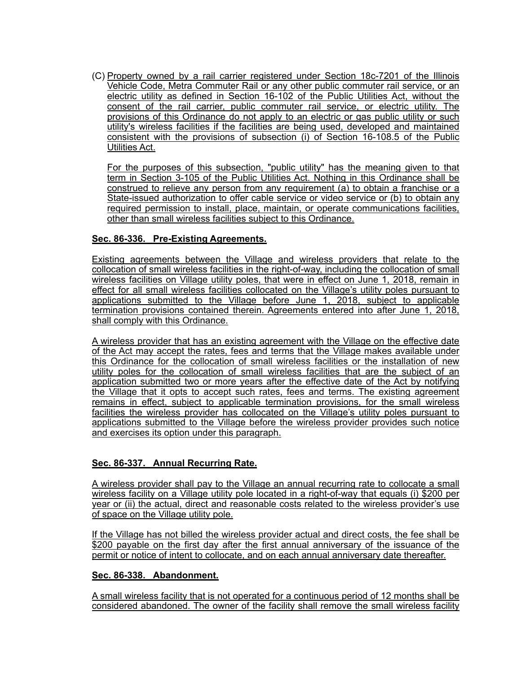(C) Property owned by a rail carrier registered under Section 18c-7201 of the Illinois Vehicle Code, Metra Commuter Rail or any other public commuter rail service, or an electric utility as defined in Section 16-102 of the Public Utilities Act, without the consent of the rail carrier, public commuter rail service, or electric utility. The provisions of this Ordinance do not apply to an electric or gas public utility or such utility's wireless facilities if the facilities are being used, developed and maintained consistent with the provisions of subsection (i) of Section 16-108.5 of the Public Utilities Act.

For the purposes of this subsection, "public utility" has the meaning given to that term in Section 3-105 of the Public Utilities Act. Nothing in this Ordinance shall be construed to relieve any person from any requirement (a) to obtain a franchise or a State-issued authorization to offer cable service or video service or (b) to obtain any required permission to install, place, maintain, or operate communications facilities, other than small wireless facilities subject to this Ordinance.

# **Sec. 86-336. Pre-Existing Agreements.**

Existing agreements between the Village and wireless providers that relate to the collocation of small wireless facilities in the right-of-way, including the collocation of small wireless facilities on Village utility poles, that were in effect on June 1, 2018, remain in effect for all small wireless facilities collocated on the Village's utility poles pursuant to applications submitted to the Village before June 1, 2018, subject to applicable termination provisions contained therein. Agreements entered into after June 1, 2018, shall comply with this Ordinance.

A wireless provider that has an existing agreement with the Village on the effective date of the Act may accept the rates, fees and terms that the Village makes available under this Ordinance for the collocation of small wireless facilities or the installation of new utility poles for the collocation of small wireless facilities that are the subject of an application submitted two or more years after the effective date of the Act by notifying the Village that it opts to accept such rates, fees and terms. The existing agreement remains in effect, subject to applicable termination provisions, for the small wireless facilities the wireless provider has collocated on the Village's utility poles pursuant to applications submitted to the Village before the wireless provider provides such notice and exercises its option under this paragraph.

# **Sec. 86-337. Annual Recurring Rate.**

A wireless provider shall pay to the Village an annual recurring rate to collocate a small wireless facility on a Village utility pole located in a right-of-way that equals (i) \$200 per year or (ii) the actual, direct and reasonable costs related to the wireless provider's use of space on the Village utility pole.

If the Village has not billed the wireless provider actual and direct costs, the fee shall be \$200 payable on the first day after the first annual anniversary of the issuance of the permit or notice of intent to collocate, and on each annual anniversary date thereafter.

## **Sec. 86-338. Abandonment.**

A small wireless facility that is not operated for a continuous period of 12 months shall be considered abandoned. The owner of the facility shall remove the small wireless facility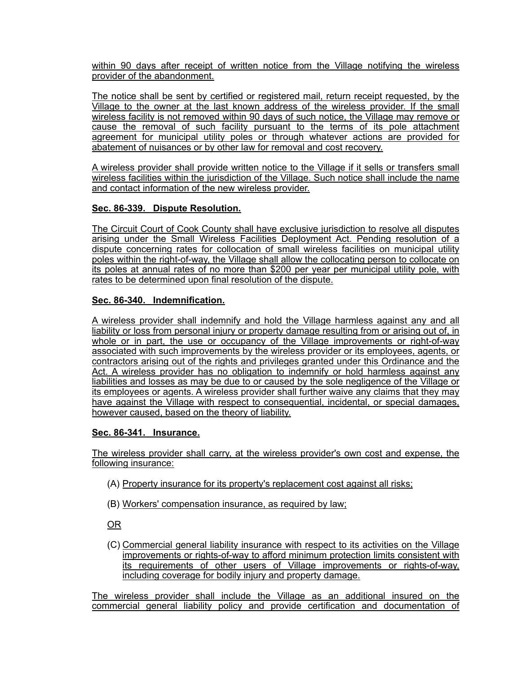within 90 days after receipt of written notice from the Village notifying the wireless provider of the abandonment.

The notice shall be sent by certified or registered mail, return receipt requested, by the Village to the owner at the last known address of the wireless provider. If the small wireless facility is not removed within 90 days of such notice, the Village may remove or cause the removal of such facility pursuant to the terms of its pole attachment agreement for municipal utility poles or through whatever actions are provided for abatement of nuisances or by other law for removal and cost recovery.

A wireless provider shall provide written notice to the Village if it sells or transfers small wireless facilities within the jurisdiction of the Village. Such notice shall include the name and contact information of the new wireless provider.

# **Sec. 86-339. Dispute Resolution.**

The Circuit Court of Cook County shall have exclusive jurisdiction to resolve all disputes arising under the Small Wireless Facilities Deployment Act. Pending resolution of a dispute concerning rates for collocation of small wireless facilities on municipal utility poles within the right-of-way, the Village shall allow the collocating person to collocate on its poles at annual rates of no more than \$200 per year per municipal utility pole, with rates to be determined upon final resolution of the dispute.

# **Sec. 86-340. Indemnification.**

A wireless provider shall indemnify and hold the Village harmless against any and all liability or loss from personal injury or property damage resulting from or arising out of, in whole or in part, the use or occupancy of the Village improvements or right-of-way associated with such improvements by the wireless provider or its employees, agents, or contractors arising out of the rights and privileges granted under this Ordinance and the Act. A wireless provider has no obligation to indemnify or hold harmless against any liabilities and losses as may be due to or caused by the sole negligence of the Village or its employees or agents. A wireless provider shall further waive any claims that they may have against the Village with respect to consequential, incidental, or special damages, however caused, based on the theory of liability.

# **Sec. 86-341. Insurance.**

The wireless provider shall carry, at the wireless provider's own cost and expense, the following insurance:

- (A) Property insurance for its property's replacement cost against all risks;
- (B) Workers' compensation insurance, as required by law;

OR

(C) Commercial general liability insurance with respect to its activities on the Village improvements or rights-of-way to afford minimum protection limits consistent with its requirements of other users of Village improvements or rights-of-way, including coverage for bodily injury and property damage.

The wireless provider shall include the Village as an additional insured on the commercial general liability policy and provide certification and documentation of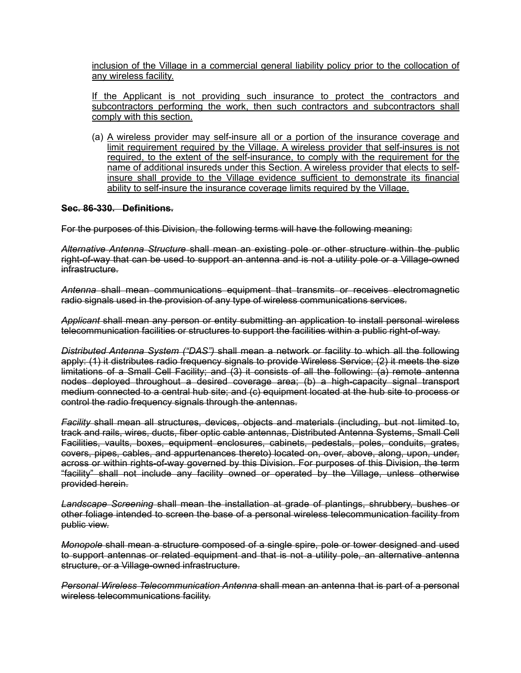inclusion of the Village in a commercial general liability policy prior to the collocation of any wireless facility.

If the Applicant is not providing such insurance to protect the contractors and subcontractors performing the work, then such contractors and subcontractors shall comply with this section.

(a) A wireless provider may self-insure all or a portion of the insurance coverage and limit requirement required by the Village. A wireless provider that self-insures is not required, to the extent of the self-insurance, to comply with the requirement for the name of additional insureds under this Section. A wireless provider that elects to selfinsure shall provide to the Village evidence sufficient to demonstrate its financial ability to self-insure the insurance coverage limits required by the Village.

## **Sec. 86-330. Definitions.**

For the purposes of this Division, the following terms will have the following meaning:

*Alternative Antenna Structure* shall mean an existing pole or other structure within the public right-of-way that can be used to support an antenna and is not a utility pole or a Village-owned infrastructure.

*Antenna* shall mean communications equipment that transmits or receives electromagnetic radio signals used in the provision of any type of wireless communications services.

*Applicant* shall mean any person or entity submitting an application to install personal wireless telecommunication facilities or structures to support the facilities within a public right-of-way.

*Distributed Antenna System ("DAS")* shall mean a network or facility to which all the following apply: (1) it distributes radio frequency signals to provide Wireless Service; (2) it meets the size limitations of a Small Cell Facility; and (3) it consists of all the following: (a) remote antenna nodes deployed throughout a desired coverage area; (b) a high-capacity signal transport medium connected to a central hub site; and (c) equipment located at the hub site to process or control the radio frequency signals through the antennas.

*Facility* shall mean all structures, devices, objects and materials (including, but not limited to, track and rails, wires, ducts, fiber optic cable antennas, Distributed Antenna Systems, Small Cell Facilities, vaults, boxes, equipment enclosures, cabinets, pedestals, poles, conduits, grates, covers, pipes, cables, and appurtenances thereto) located on, over, above, along, upon, under, across or within rights-of-way governed by this Division. For purposes of this Division, the term "facility" shall not include any facility owned or operated by the Village, unless otherwise provided herein.

*Landscape Screening* shall mean the installation at grade of plantings, shrubbery, bushes or other foliage intended to screen the base of a personal wireless telecommunication facility from public view.

*Monopole* shall mean a structure composed of a single spire, pole or tower designed and used to support antennas or related equipment and that is not a utility pole, an alternative antenna structure, or a Village-owned infrastructure.

*Personal Wireless Telecommunication Antenna* shall mean an antenna that is part of a personal wireless telecommunications facility.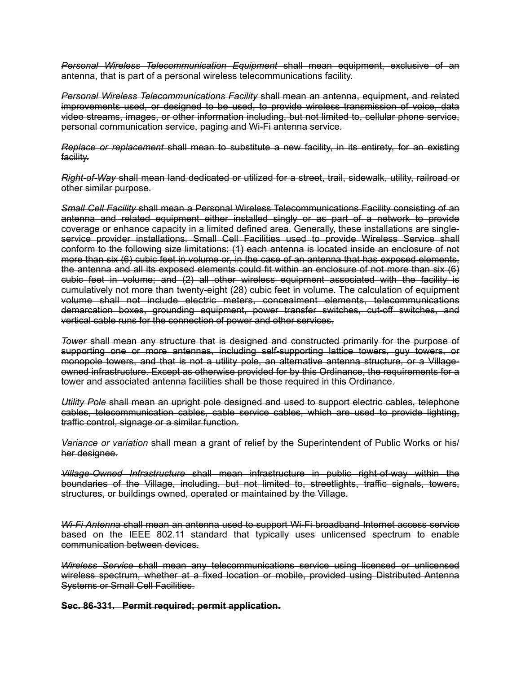*Personal Wireless Telecommunication Equipment* shall mean equipment, exclusive of an antenna, that is part of a personal wireless telecommunications facility.

*Personal Wireless Telecommunications Facility* shall mean an antenna, equipment, and related improvements used, or designed to be used, to provide wireless transmission of voice, data video streams, images, or other information including, but not limited to, cellular phone service, personal communication service, paging and Wi-Fi antenna service.

*Replace or replacement* shall mean to substitute a new facility, in its entirety, for an existing facility.

*Right-of-Way* shall mean land dedicated or utilized for a street, trail, sidewalk, utility, railroad or other similar purpose.

*Small Cell Facility* shall mean a Personal Wireless Telecommunications Facility consisting of an antenna and related equipment either installed singly or as part of a network to provide coverage or enhance capacity in a limited defined area. Generally, these installations are singleservice provider installations. Small Cell Facilities used to provide Wireless Service shall conform to the following size limitations: (1) each antenna is located inside an enclosure of not more than six (6) cubic feet in volume or, in the case of an antenna that has exposed elements, the antenna and all its exposed elements could fit within an enclosure of not more than six (6) cubic feet in volume; and (2) all other wireless equipment associated with the facility is cumulatively not more than twenty-eight (28) cubic feet in volume. The calculation of equipment volume shall not include electric meters, concealment elements, telecommunications demarcation boxes, grounding equipment, power transfer switches, cut-off switches, and vertical cable runs for the connection of power and other services.

*Tower* shall mean any structure that is designed and constructed primarily for the purpose of supporting one or more antennas, including self-supporting lattice towers, guy towers, or monopole towers, and that is not a utility pole, an alternative antenna structure, or a Villageowned infrastructure. Except as otherwise provided for by this Ordinance, the requirements for a tower and associated antenna facilities shall be those required in this Ordinance.

*Utility Pole* shall mean an upright pole designed and used to support electric cables, telephone cables, telecommunication cables, cable service cables, which are used to provide lighting, traffic control, signage or a similar function.

*Variance or variation* shall mean a grant of relief by the Superintendent of Public Works or his/ her designee.

*Village-Owned Infrastructure* shall mean infrastructure in public right-of-way within the boundaries of the Village, including, but not limited to, streetlights, traffic signals, towers, structures, or buildings owned, operated or maintained by the Village.

*Wi-Fi Antenna* shall mean an antenna used to support Wi-Fi broadband Internet access service based on the IEEE 802.11 standard that typically uses unlicensed spectrum to enable communication between devices.

*Wireless Service* shall mean any telecommunications service using licensed or unlicensed wireless spectrum, whether at a fixed location or mobile, provided using Distributed Antenna Systems or Small Cell Facilities.

**Sec. 86-331. Permit required; permit application.**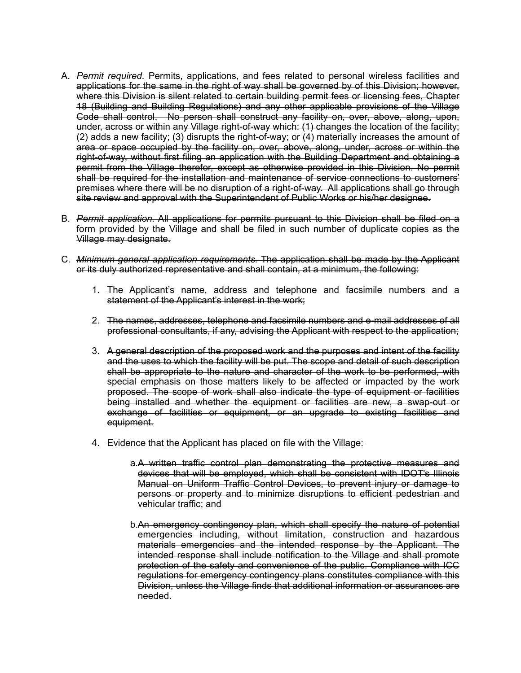- A. *Permit required.* Permits, applications, and fees related to personal wireless facilities and applications for the same in the right of way shall be governed by of this Division; however, where this Division is silent related to certain building permit fees or licensing fees, Chapter 18 (Building and Building Regulations) and any other applicable provisions of the Village Code shall control. No person shall construct any facility on, over, above, along, upon, under, across or within any Village right-of-way which: (1) changes the location of the facility; (2) adds a new facility; (3) disrupts the right-of-way; or (4) materially increases the amount of area or space occupied by the facility on, over, above, along, under, across or within the right-of-way, without first filing an application with the Building Department and obtaining a permit from the Village therefor, except as otherwise provided in this Division. No permit shall be required for the installation and maintenance of service connections to customers' premises where there will be no disruption of a right-of-way. All applications shall go through site review and approval with the Superintendent of Public Works or his/her designee.
- B. *Permit application.* All applications for permits pursuant to this Division shall be filed on a form provided by the Village and shall be filed in such number of duplicate copies as the Village may designate.
- C. *Minimum general application requirements.* The application shall be made by the Applicant or its duly authorized representative and shall contain, at a minimum, the following:
	- 1. The Applicant's name, address and telephone and facsimile numbers and a statement of the Applicant's interest in the work;
	- 2. The names, addresses, telephone and facsimile numbers and e-mail addresses of all professional consultants, if any, advising the Applicant with respect to the application;
	- 3. A general description of the proposed work and the purposes and intent of the facility and the uses to which the facility will be put. The scope and detail of such description shall be appropriate to the nature and character of the work to be performed, with special emphasis on those matters likely to be affected or impacted by the work proposed. The scope of work shall also indicate the type of equipment or facilities being installed and whether the equipment or facilities are new, a swap-out or exchange of facilities or equipment, or an upgrade to existing facilities and equipment.
	- 4. Evidence that the Applicant has placed on file with the Village:
		- a.A written traffic control plan demonstrating the protective measures and devices that will be employed, which shall be consistent with IDOT's Illinois Manual on Uniform Traffic Control Devices, to prevent injury or damage to persons or property and to minimize disruptions to efficient pedestrian and vehicular traffic; and
		- b.An emergency contingency plan, which shall specify the nature of potential emergencies including, without limitation, construction and hazardous materials emergencies and the intended response by the Applicant. The intended response shall include notification to the Village and shall promote protection of the safety and convenience of the public. Compliance with ICC regulations for emergency contingency plans constitutes compliance with this Division, unless the Village finds that additional information or assurances are needed.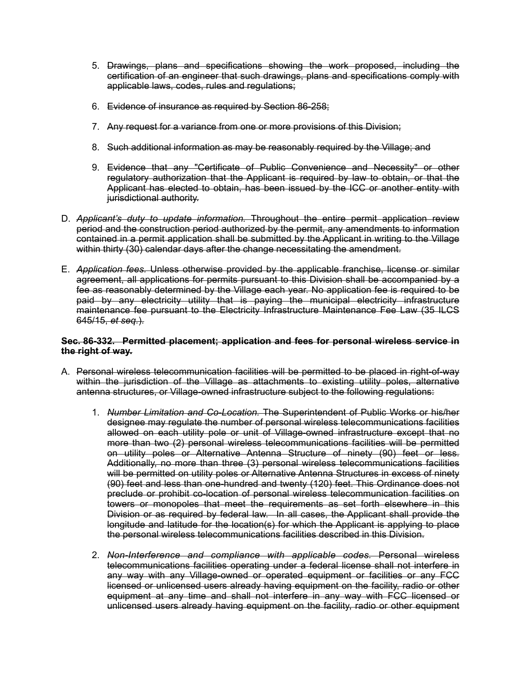- 5. Drawings, plans and specifications showing the work proposed, including the certification of an engineer that such drawings, plans and specifications comply with applicable laws, codes, rules and regulations;
- 6. Evidence of insurance as required by Section 86-258;
- 7. Any request for a variance from one or more provisions of this Division;
- 8. Such additional information as may be reasonably required by the Village; and
- 9. Evidence that any "Certificate of Public Convenience and Necessity" or other regulatory authorization that the Applicant is required by law to obtain, or that the Applicant has elected to obtain, has been issued by the ICC or another entity with jurisdictional authority.
- D. *Applicant's duty to update information.* Throughout the entire permit application review period and the construction period authorized by the permit, any amendments to information contained in a permit application shall be submitted by the Applicant in writing to the Village within thirty (30) calendar days after the change necessitating the amendment.
- E. *Application fees.* Unless otherwise provided by the applicable franchise, license or similar agreement, all applications for permits pursuant to this Division shall be accompanied by a fee as reasonably determined by the Village each year. No application fee is required to be paid by any electricity utility that is paying the municipal electricity infrastructure maintenance fee pursuant to the Electricity Infrastructure Maintenance Fee Law (35 ILCS 645/15, *et seq.*).

## **Sec. 86-332. Permitted placement; application and fees for personal wireless service in the right of way.**

- A. Personal wireless telecommunication facilities will be permitted to be placed in right-of-way within the jurisdiction of the Village as attachments to existing utility poles, alternative antenna structures, or Village-owned infrastructure subject to the following regulations:
	- 1. *Number Limitation and Co-Location.* The Superintendent of Public Works or his/her designee may regulate the number of personal wireless telecommunications facilities allowed on each utility pole or unit of Village-owned infrastructure except that no more than two (2) personal wireless telecommunications facilities will be permitted on utility poles or Alternative Antenna Structure of ninety (90) feet or less. Additionally, no more than three (3) personal wireless telecommunications facilities will be permitted on utility poles or Alternative Antenna Structures in excess of ninety (90) feet and less than one-hundred and twenty (120) feet. This Ordinance does not preclude or prohibit co-location of personal wireless telecommunication facilities on towers or monopoles that meet the requirements as set forth elsewhere in this Division or as required by federal law. In all cases, the Applicant shall provide the longitude and latitude for the location(s) for which the Applicant is applying to place the personal wireless telecommunications facilities described in this Division.
	- 2. *Non-Interference and compliance with applicable codes.* Personal wireless telecommunications facilities operating under a federal license shall not interfere in any way with any Village-owned or operated equipment or facilities or any FCC licensed or unlicensed users already having equipment on the facility, radio or other equipment at any time and shall not interfere in any way with FCC licensed or unlicensed users already having equipment on the facility, radio or other equipment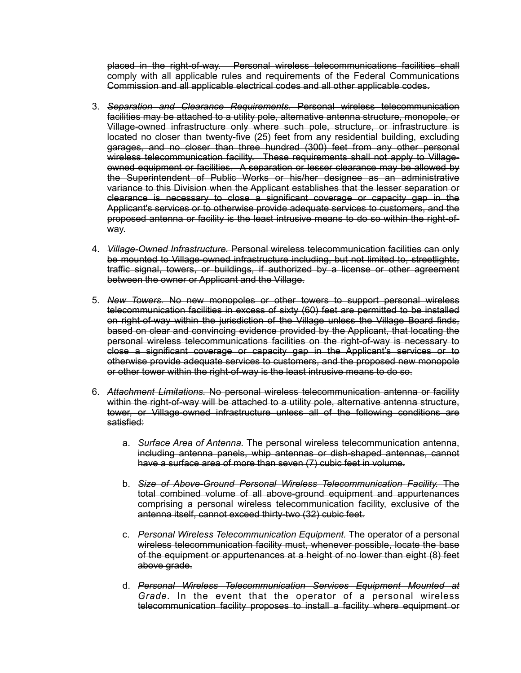placed in the right-of-way. Personal wireless telecommunications facilities shall comply with all applicable rules and requirements of the Federal Communications Commission and all applicable electrical codes and all other applicable codes.

- 3. *Separation and Clearance Requirements.* Personal wireless telecommunication facilities may be attached to a utility pole, alternative antenna structure, monopole, or Village-owned infrastructure only where such pole, structure, or infrastructure is located no closer than twenty-five (25) feet from any residential building, excluding garages, and no closer than three hundred (300) feet from any other personal wireless telecommunication facility. These requirements shall not apply to Villageowned equipment or facilities. A separation or lesser clearance may be allowed by the Superintendent of Public Works or his/her designee as an administrative variance to this Division when the Applicant establishes that the lesser separation or clearance is necessary to close a significant coverage or capacity gap in the Applicant's services or to otherwise provide adequate services to customers, and the proposed antenna or facility is the least intrusive means to do so within the right-ofway.
- 4. *Village-Owned Infrastructure.* Personal wireless telecommunication facilities can only be mounted to Village-owned infrastructure including, but not limited to, streetlights, traffic signal, towers, or buildings, if authorized by a license or other agreement between the owner or Applicant and the Village.
- 5. *New Towers.* No new monopoles or other towers to support personal wireless telecommunication facilities in excess of sixty (60) feet are permitted to be installed on right-of-way within the jurisdiction of the Village unless the Village Board finds, based on clear and convincing evidence provided by the Applicant, that locating the personal wireless telecommunications facilities on the right-of-way is necessary to close a significant coverage or capacity gap in the Applicant's services or to otherwise provide adequate services to customers, and the proposed new monopole or other tower within the right-of-way is the least intrusive means to do so.
- 6. *Attachment Limitations.* No personal wireless telecommunication antenna or facility within the right-of-way will be attached to a utility pole, alternative antenna structure, tower, or Village-owned infrastructure unless all of the following conditions are satisfied:
	- a. *Surface Area of Antenna.* The personal wireless telecommunication antenna, including antenna panels, whip antennas or dish-shaped antennas, cannot have a surface area of more than seven (7) cubic feet in volume.
	- b. *Size of Above-Ground Personal Wireless Telecommunication Facility.* The total combined volume of all above-ground equipment and appurtenances comprising a personal wireless telecommunication facility, exclusive of the antenna itself, cannot exceed thirty-two (32) cubic feet.
	- c. *Personal Wireless Telecommunication Equipment.* The operator of a personal wireless telecommunication facility must, whenever possible, locate the base of the equipment or appurtenances at a height of no lower than eight (8) feet above grade.
	- d. *Personal Wireless Telecommunication Services Equipment Mounted at Grade.* In the event that the operator of a personal wireless telecommunication facility proposes to install a facility where equipment or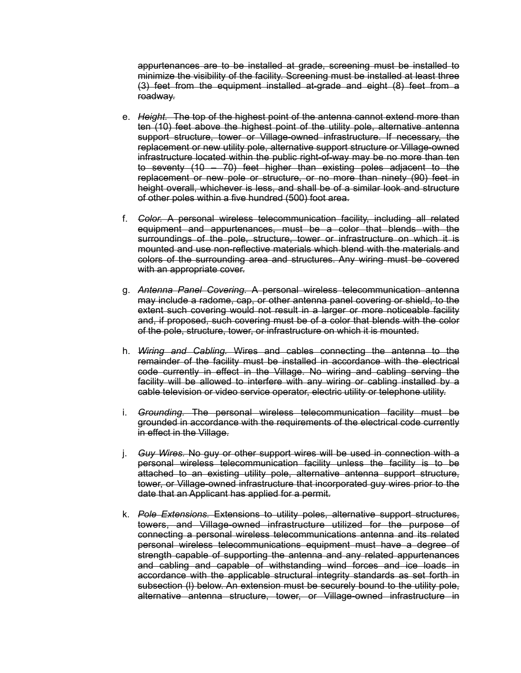appurtenances are to be installed at grade, screening must be installed to minimize the visibility of the facility. Screening must be installed at least three (3) feet from the equipment installed at-grade and eight (8) feet from a roadway.

- e. *Height.* The top of the highest point of the antenna cannot extend more than ten (10) feet above the highest point of the utility pole, alternative antenna support structure, tower or Village-owned infrastructure. If necessary, the replacement or new utility pole, alternative support structure or Village-owned infrastructure located within the public right-of-way may be no more than ten to seventy (10 – 70) feet higher than existing poles adjacent to the replacement or new pole or structure, or no more than ninety (90) feet in height overall, whichever is less, and shall be of a similar look and structure of other poles within a five hundred (500) foot area.
- f. *Color.* A personal wireless telecommunication facility, including all related equipment and appurtenances, must be a color that blends with the surroundings of the pole, structure, tower or infrastructure on which it is mounted and use non-reflective materials which blend with the materials and colors of the surrounding area and structures. Any wiring must be covered with an appropriate cover.
- g. *Antenna Panel Covering.* A personal wireless telecommunication antenna may include a radome, cap, or other antenna panel covering or shield, to the extent such covering would not result in a larger or more noticeable facility and, if proposed, such covering must be of a color that blends with the color of the pole, structure, tower, or infrastructure on which it is mounted.
- h. *Wiring and Cabling.* Wires and cables connecting the antenna to the remainder of the facility must be installed in accordance with the electrical code currently in effect in the Village. No wiring and cabling serving the facility will be allowed to interfere with any wiring or cabling installed by a cable television or video service operator, electric utility or telephone utility.
- i. *Grounding.* The personal wireless telecommunication facility must be grounded in accordance with the requirements of the electrical code currently in effect in the Village.
- j. *Guy Wires.* No guy or other support wires will be used in connection with a personal wireless telecommunication facility unless the facility is to be attached to an existing utility pole, alternative antenna support structure, tower, or Village-owned infrastructure that incorporated guy wires prior to the date that an Applicant has applied for a permit.
- k. *Pole Extensions.* Extensions to utility poles, alternative support structures, towers, and Village-owned infrastructure utilized for the purpose of connecting a personal wireless telecommunications antenna and its related personal wireless telecommunications equipment must have a degree of strength capable of supporting the antenna and any related appurtenances and cabling and capable of withstanding wind forces and ice loads in accordance with the applicable structural integrity standards as set forth in subsection (l) below. An extension must be securely bound to the utility pole, alternative antenna structure, tower, or Village-owned infrastructure in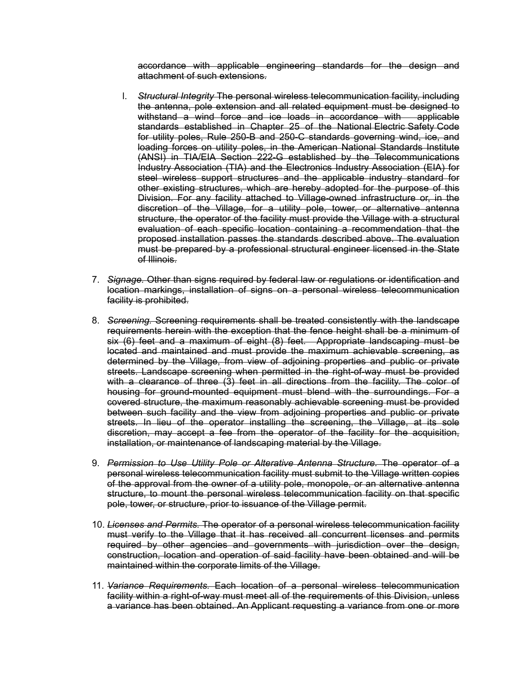accordance with applicable engineering standards for the design and attachment of such extensions.

- l. *Structural Integrity* The personal wireless telecommunication facility, including the antenna, pole extension and all related equipment must be designed to withstand a wind force and ice loads in accordance with applicable standards established in Chapter 25 of the National Electric Safety Code for utility poles, Rule 250-B and 250-C standards governing wind, ice, and loading forces on utility poles, in the American National Standards Institute (ANSI) in TIA/EIA Section 222-G established by the Telecommunications Industry Association (TIA) and the Electronics Industry Association (EIA) for steel wireless support structures and the applicable industry standard for other existing structures, which are hereby adopted for the purpose of this Division. For any facility attached to Village-owned infrastructure or, in the discretion of the Village, for a utility pole, tower, or alternative antenna structure, the operator of the facility must provide the Village with a structural evaluation of each specific location containing a recommendation that the proposed installation passes the standards described above. The evaluation must be prepared by a professional structural engineer licensed in the State of Illinois.
- 7. *Signage.* Other than signs required by federal law or regulations or identification and location markings, installation of signs on a personal wireless telecommunication facility is prohibited.
- 8. *Screening.* Screening requirements shall be treated consistently with the landscape requirements herein with the exception that the fence height shall be a minimum of six (6) feet and a maximum of eight (8) feet. Appropriate landscaping must be located and maintained and must provide the maximum achievable screening, as determined by the Village, from view of adjoining properties and public or private streets. Landscape screening when permitted in the right-of-way must be provided with a clearance of three (3) feet in all directions from the facility. The color of housing for ground-mounted equipment must blend with the surroundings. For a covered structure, the maximum reasonably achievable screening must be provided between such facility and the view from adjoining properties and public or private streets. In lieu of the operator installing the screening, the Village, at its sole discretion, may accept a fee from the operator of the facility for the acquisition, installation, or maintenance of landscaping material by the Village.
- 9. *Permission to Use Utility Pole or Alterative Antenna Structure.* The operator of a personal wireless telecommunication facility must submit to the Village written copies of the approval from the owner of a utility pole, monopole, or an alternative antenna structure, to mount the personal wireless telecommunication facility on that specific pole, tower, or structure, prior to issuance of the Village permit.
- 10. *Licenses and Permits.* The operator of a personal wireless telecommunication facility must verify to the Village that it has received all concurrent licenses and permits required by other agencies and governments with jurisdiction over the design, construction, location and operation of said facility have been obtained and will be maintained within the corporate limits of the Village.
- 11. *Variance Requirements.* Each location of a personal wireless telecommunication facility within a right-of-way must meet all of the requirements of this Division, unless a variance has been obtained. An Applicant requesting a variance from one or more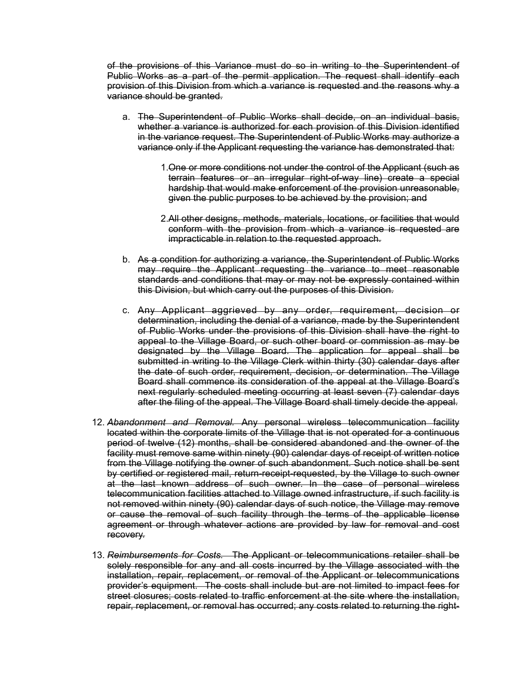of the provisions of this Variance must do so in writing to the Superintendent of Public Works as a part of the permit application. The request shall identify each provision of this Division from which a variance is requested and the reasons why a variance should be granted.

- a. The Superintendent of Public Works shall decide, on an individual basis, whether a variance is authorized for each provision of this Division identified in the variance request. The Superintendent of Public Works may authorize a variance only if the Applicant requesting the variance has demonstrated that:
	- 1.One or more conditions not under the control of the Applicant (such as terrain features or an irregular right-of-way line) create a special hardship that would make enforcement of the provision unreasonable, given the public purposes to be achieved by the provision; and
	- 2.All other designs, methods, materials, locations, or facilities that would conform with the provision from which a variance is requested are impracticable in relation to the requested approach.
- b. As a condition for authorizing a variance, the Superintendent of Public Works may require the Applicant requesting the variance to meet reasonable standards and conditions that may or may not be expressly contained within this Division, but which carry out the purposes of this Division.
- c. Any Applicant aggrieved by any order, requirement, decision or determination, including the denial of a variance, made by the Superintendent of Public Works under the provisions of this Division shall have the right to appeal to the Village Board, or such other board or commission as may be designated by the Village Board. The application for appeal shall be submitted in writing to the Village Clerk within thirty (30) calendar days after the date of such order, requirement, decision, or determination. The Village Board shall commence its consideration of the appeal at the Village Board's next regularly scheduled meeting occurring at least seven (7) calendar days after the filing of the appeal. The Village Board shall timely decide the appeal.
- 12. *Abandonment and Removal.* Any personal wireless telecommunication facility located within the corporate limits of the Village that is not operated for a continuous period of twelve (12) months, shall be considered abandoned and the owner of the facility must remove same within ninety (90) calendar days of receipt of written notice from the Village notifying the owner of such abandonment. Such notice shall be sent by certified or registered mail, return-receipt-requested, by the Village to such owner at the last known address of such owner. In the case of personal wireless telecommunication facilities attached to Village owned infrastructure, if such facility is not removed within ninety (90) calendar days of such notice, the Village may remove or cause the removal of such facility through the terms of the applicable license agreement or through whatever actions are provided by law for removal and cost recovery.
- 13. *Reimbursements for Costs.* The Applicant or telecommunications retailer shall be solely responsible for any and all costs incurred by the Village associated with the installation, repair, replacement, or removal of the Applicant or telecommunications provider's equipment. The costs shall include but are not limited to impact fees for street closures; costs related to traffic enforcement at the site where the installation, repair, replacement, or removal has occurred; any costs related to returning the right-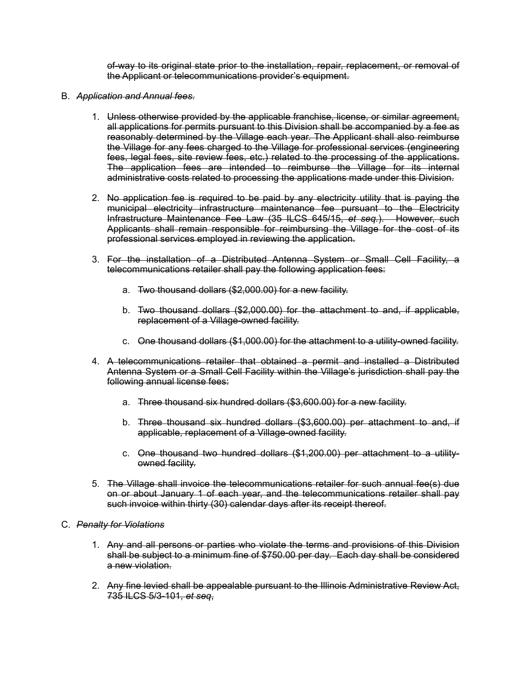of-way to its original state prior to the installation, repair, replacement, or removal of the Applicant or telecommunications provider's equipment.

- B. *Application and Annual fees*.
	- 1. Unless otherwise provided by the applicable franchise, license, or similar agreement, all applications for permits pursuant to this Division shall be accompanied by a fee as reasonably determined by the Village each year. The Applicant shall also reimburse the Village for any fees charged to the Village for professional services (engineering fees, legal fees, site review fees, etc.) related to the processing of the applications. The application fees are intended to reimburse the Village for its internal administrative costs related to processing the applications made under this Division.
	- 2. No application fee is required to be paid by any electricity utility that is paying the municipal electricity infrastructure maintenance fee pursuant to the Electricity Infrastructure Maintenance Fee Law (35 ILCS 645/15, *et seq.*). However, such Applicants shall remain responsible for reimbursing the Village for the cost of its professional services employed in reviewing the application.
	- 3. For the installation of a Distributed Antenna System or Small Cell Facility, a telecommunications retailer shall pay the following application fees:
		- a. Two thousand dollars (\$2,000.00) for a new facility.
		- b. Two thousand dollars (\$2,000.00) for the attachment to and, if applicable, replacement of a Village-owned facility.
		- c. One thousand dollars (\$1,000.00) for the attachment to a utility-owned facility.
	- 4. A telecommunications retailer that obtained a permit and installed a Distributed Antenna System or a Small Cell Facility within the Village's jurisdiction shall pay the following annual license fees:
		- a. Three thousand six hundred dollars (\$3,600.00) for a new facility.
		- b. Three thousand six hundred dollars (\$3,600.00) per attachment to and, if applicable, replacement of a Village-owned facility.
		- c. One thousand two hundred dollars (\$1,200.00) per attachment to a utilityowned facility.
	- 5. The Village shall invoice the telecommunications retailer for such annual fee(s) due on or about January 1 of each year, and the telecommunications retailer shall pay such invoice within thirty (30) calendar days after its receipt thereof.

## C. *Penalty for Violations*

- 1. Any and all persons or parties who violate the terms and provisions of this Division shall be subject to a minimum fine of \$750.00 per day. Each day shall be considered a new violation.
- 2. Any fine levied shall be appealable pursuant to the Illinois Administrative Review Act, 735 ILCS 5/3-101, *et seq*,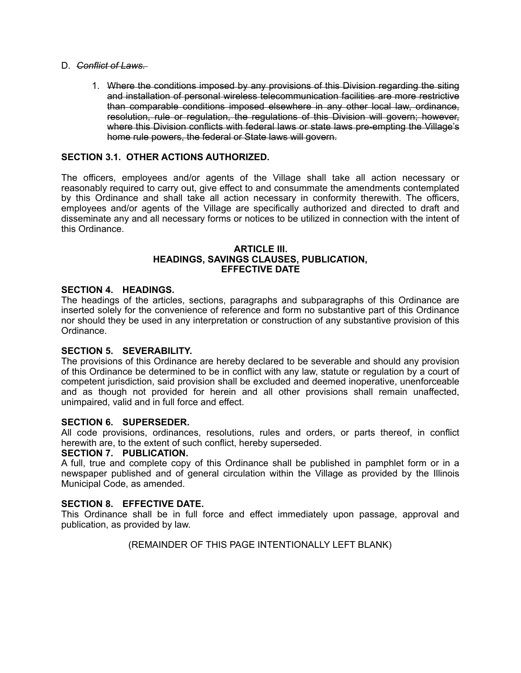## D. *Conflict of Laws.*

1. Where the conditions imposed by any provisions of this Division regarding the siting and installation of personal wireless telecommunication facilities are more restrictive than comparable conditions imposed elsewhere in any other local law, ordinance, resolution, rule or regulation, the regulations of this Division will govern; however, where this Division conflicts with federal laws or state laws pre-empting the Village's home rule powers, the federal or State laws will govern.

# **SECTION 3.1. OTHER ACTIONS AUTHORIZED.**

The officers, employees and/or agents of the Village shall take all action necessary or reasonably required to carry out, give effect to and consummate the amendments contemplated by this Ordinance and shall take all action necessary in conformity therewith. The officers, employees and/or agents of the Village are specifically authorized and directed to draft and disseminate any and all necessary forms or notices to be utilized in connection with the intent of this Ordinance.

### **ARTICLE III. HEADINGS, SAVINGS CLAUSES, PUBLICATION, EFFECTIVE DATE**

## **SECTION 4. HEADINGS.**

The headings of the articles, sections, paragraphs and subparagraphs of this Ordinance are inserted solely for the convenience of reference and form no substantive part of this Ordinance nor should they be used in any interpretation or construction of any substantive provision of this Ordinance.

## **SECTION 5. SEVERABILITY.**

The provisions of this Ordinance are hereby declared to be severable and should any provision of this Ordinance be determined to be in conflict with any law, statute or regulation by a court of competent jurisdiction, said provision shall be excluded and deemed inoperative, unenforceable and as though not provided for herein and all other provisions shall remain unaffected, unimpaired, valid and in full force and effect.

## **SECTION 6. SUPERSEDER.**

All code provisions, ordinances, resolutions, rules and orders, or parts thereof, in conflict herewith are, to the extent of such conflict, hereby superseded.

## **SECTION 7. PUBLICATION.**

A full, true and complete copy of this Ordinance shall be published in pamphlet form or in a newspaper published and of general circulation within the Village as provided by the Illinois Municipal Code, as amended.

# **SECTION 8. EFFECTIVE DATE.**

This Ordinance shall be in full force and effect immediately upon passage, approval and publication, as provided by law.

(REMAINDER OF THIS PAGE INTENTIONALLY LEFT BLANK)